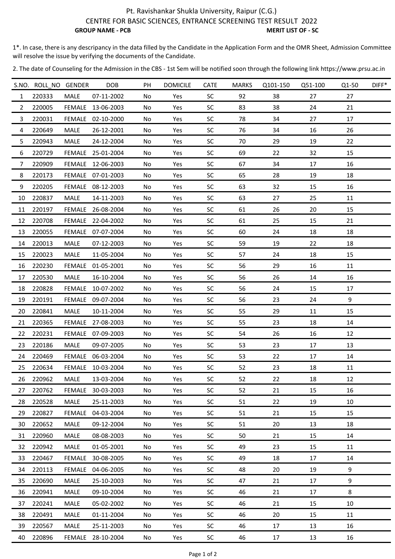## Pt. Ravishankar Shukla University, Raipur (C.G.) CENTRE FOR BASIC SCIENCES, ENTRANCE SCREENING TEST RESULT 2022 **GROUP NAME - PCB** MERIT LIST OF - SC

1\*. In case, there is any descripancy in the data filled by the Candidate in the Application Form and the OMR Sheet, Admission Committee will resolve the issue by verifying the documents of the Candidate.

2. The date of Counseling for the Admission in the CBS ‐ 1st Sem will be notified soon through the following link https://www.prsu.ac.in

|                | S.NO. ROLL NO GENDER |               | <b>DOB</b>        | PH  | <b>DOMICILE</b> | <b>CATE</b> | <b>MARKS</b> | Q101-150 | Q51-100 | Q1-50 | $DIFF*$ |
|----------------|----------------------|---------------|-------------------|-----|-----------------|-------------|--------------|----------|---------|-------|---------|
| $\mathbf{1}$   | 220333               | MALE          | 07-11-2002        | No  | Yes             | <b>SC</b>   | 92           | 38       | 27      | 27    |         |
| $\overline{2}$ | 220005               |               | FEMALE 13-06-2003 | No  | Yes             | <b>SC</b>   | 83           | 38       | 24      | 21    |         |
| 3              | 220031               |               | FEMALE 02-10-2000 | No  | Yes             | <b>SC</b>   | 78           | 34       | 27      | 17    |         |
| 4              | 220649               | MALE          | 26-12-2001        | No  | Yes             | <b>SC</b>   | 76           | 34       | 16      | 26    |         |
| 5              | 220943               | MALE          | 24-12-2004        | No  | Yes             | <b>SC</b>   | 70           | 29       | 19      | 22    |         |
| 6              | 220729               |               | FEMALE 25-01-2004 | No. | Yes             | <b>SC</b>   | 69           | 22       | 32      | 15    |         |
| 7              | 220909               |               | FEMALE 12-06-2003 | No  | Yes             | <b>SC</b>   | 67           | 34       | 17      | 16    |         |
| 8              | 220173               |               | FEMALE 07-01-2003 | No  | Yes             | <b>SC</b>   | 65           | 28       | 19      | 18    |         |
| 9              | 220205               |               | FEMALE 08-12-2003 | No  | Yes             | <b>SC</b>   | 63           | 32       | 15      | 16    |         |
| 10             | 220837               | MALE          | 14-11-2003        | No  | Yes             | <b>SC</b>   | 63           | 27       | 25      | 11    |         |
| 11             | 220197               |               | FEMALE 26-08-2004 | No  | Yes             | <b>SC</b>   | 61           | 26       | 20      | 15    |         |
| 12             | 220708               |               | FEMALE 22-04-2002 | No  | Yes             | SC.         | 61           | 25       | 15      | 21    |         |
| 13             | 220055               |               | FEMALE 07-07-2004 | No  | Yes             | <b>SC</b>   | 60           | 24       | 18      | 18    |         |
| 14             | 220013               | MALE          | 07-12-2003        | No  | Yes             | <b>SC</b>   | 59           | 19       | 22      | 18    |         |
| 15             | 220023               | MALE          | 11-05-2004        | No  | Yes             | <b>SC</b>   | 57           | 24       | 18      | 15    |         |
| 16             | 220230               |               | FEMALE 01-05-2001 | No  | Yes             | SC          | 56           | 29       | 16      | 11    |         |
| 17             | 220530               | MALE          | 16-10-2004        | No  | Yes             | <b>SC</b>   | 56           | 26       | 14      | 16    |         |
| 18             | 220828               | FEMALE        | 10-07-2002        | No  | Yes             | <b>SC</b>   | 56           | 24       | 15      | 17    |         |
| 19             | 220191               |               | FEMALE 09-07-2004 | No  | Yes             | <b>SC</b>   | 56           | 23       | 24      | 9     |         |
| 20             | 220841               | MALE          | 10-11-2004        | No  | Yes             | <b>SC</b>   | 55           | 29       | 11      | 15    |         |
| 21             | 220365               |               | FEMALE 27-08-2003 | No  | Yes             | <b>SC</b>   | 55           | 23       | 18      | 14    |         |
| 22             | 220231               |               | FEMALE 07-09-2003 | No  | Yes             | <b>SC</b>   | 54           | 26       | 16      | 12    |         |
| 23             | 220186               | MALE          | 09-07-2005        | No  | Yes             | <b>SC</b>   | 53           | 23       | 17      | 13    |         |
| 24             | 220469               |               | FEMALE 06-03-2004 | No  | Yes             | <b>SC</b>   | 53           | 22       | 17      | 14    |         |
| 25             | 220634               |               | FEMALE 10-03-2004 | No  | Yes             | SC.         | 52           | 23       | 18      | 11    |         |
| 26             | 220962               | MALE          | 13-03-2004        | No  | Yes             | SC          | 52           | 22       | 18      | 12    |         |
| 27             | 220762               | <b>FEMALE</b> | 30-03-2003        | No  | Yes             | <b>SC</b>   | 52           | 21       | 15      | 16    |         |
| 28             | 220528               | MALE          | 25-11-2003        | No  | Yes             | <b>SC</b>   | 51           | 22       | 19      | 10    |         |
| 29             | 220827               | <b>FEMALE</b> | 04-03-2004        | No  | Yes             | <b>SC</b>   | 51           | 21       | 15      | 15    |         |
| 30             | 220652               | MALE          | 09-12-2004        | No  | Yes             | <b>SC</b>   | 51           | 20       | 13      | 18    |         |
| 31             | 220960               | <b>MALE</b>   | 08-08-2003        | No  | Yes             | <b>SC</b>   | 50           | 21       | 15      | 14    |         |
| 32             | 220942               | MALE          | 01-05-2001        | No. | Yes             | <b>SC</b>   | 49           | 23       | 15      | 11    |         |
| 33             | 220467               | <b>FEMALE</b> | 30-08-2005        | No  | Yes             | <b>SC</b>   | 49           | 18       | 17      | 14    |         |
| 34             | 220113               |               | FEMALE 04-06-2005 | No  | Yes             | <b>SC</b>   | 48           | 20       | 19      | 9     |         |
| 35             | 220690               | MALE          | 25-10-2003        | No  | Yes             | <b>SC</b>   | 47           | 21       | 17      | 9     |         |
| 36             | 220941               | MALE          | 09-10-2004        | No  | Yes             | SC          | 46           | 21       | 17      | 8     |         |
| 37             | 220241               | MALE          | 05-02-2002        | No. | Yes             | <b>SC</b>   | 46           | 21       | 15      | 10    |         |
| 38             | 220491               | MALE          | 01-11-2004        | No  | Yes             | <b>SC</b>   | 46           | 20       | 15      | 11    |         |
| 39             | 220567               | MALE          | 25-11-2003        | No  | Yes             | <b>SC</b>   | 46           | 17       | 13      | 16    |         |
| 40             | 220896               |               | FEMALE 28-10-2004 | No  | Yes             | SC          | 46           | 17       | 13      | 16    |         |